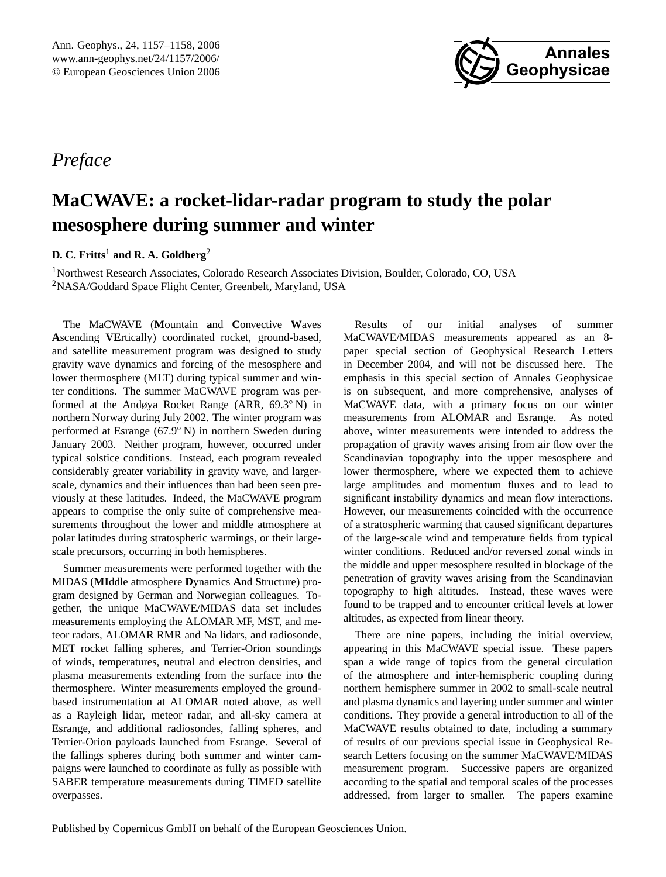

<span id="page-0-0"></span>*Preface*

## **MaCWAVE: a rocket-lidar-radar program to study the polar mesosphere during summer and winter**

**D. C. Fritts**<sup>1</sup> **and R. A. Goldberg**<sup>2</sup>

<sup>1</sup>Northwest Research Associates, Colorado Research Associates Division, Boulder, Colorado, CO, USA <sup>2</sup>NASA/Goddard Space Flight Center, Greenbelt, Maryland, USA

The MaCWAVE (**M**ountain **a**nd **C**onvective **W**aves **A**scending **VE**rtically) coordinated rocket, ground-based, and satellite measurement program was designed to study gravity wave dynamics and forcing of the mesosphere and lower thermosphere (MLT) during typical summer and winter conditions. The summer MaCWAVE program was performed at the Andøya Rocket Range (ARR, 69.3◦ N) in northern Norway during July 2002. The winter program was performed at Esrange (67.9◦ N) in northern Sweden during January 2003. Neither program, however, occurred under typical solstice conditions. Instead, each program revealed considerably greater variability in gravity wave, and largerscale, dynamics and their influences than had been seen previously at these latitudes. Indeed, the MaCWAVE program appears to comprise the only suite of comprehensive measurements throughout the lower and middle atmosphere at polar latitudes during stratospheric warmings, or their largescale precursors, occurring in both hemispheres.

Summer measurements were performed together with the MIDAS (**MI**ddle atmosphere **D**ynamics **A**nd **S**tructure) program designed by German and Norwegian colleagues. Together, the unique MaCWAVE/MIDAS data set includes measurements employing the ALOMAR MF, MST, and meteor radars, ALOMAR RMR and Na lidars, and radiosonde, MET rocket falling spheres, and Terrier-Orion soundings of winds, temperatures, neutral and electron densities, and plasma measurements extending from the surface into the thermosphere. Winter measurements employed the groundbased instrumentation at ALOMAR noted above, as well as a Rayleigh lidar, meteor radar, and all-sky camera at Esrange, and additional radiosondes, falling spheres, and Terrier-Orion payloads launched from Esrange. Several of the fallings spheres during both summer and winter campaigns were launched to coordinate as fully as possible with SABER temperature measurements during TIMED satellite overpasses.

Results of our initial analyses of summer MaCWAVE/MIDAS measurements appeared as an 8 paper special section of Geophysical Research Letters in December 2004, and will not be discussed here. The emphasis in this special section of Annales Geophysicae is on subsequent, and more comprehensive, analyses of MaCWAVE data, with a primary focus on our winter measurements from ALOMAR and Esrange. As noted above, winter measurements were intended to address the propagation of gravity waves arising from air flow over the Scandinavian topography into the upper mesosphere and lower thermosphere, where we expected them to achieve large amplitudes and momentum fluxes and to lead to significant instability dynamics and mean flow interactions. However, our measurements coincided with the occurrence of a stratospheric warming that caused significant departures of the large-scale wind and temperature fields from typical winter conditions. Reduced and/or reversed zonal winds in the middle and upper mesosphere resulted in blockage of the penetration of gravity waves arising from the Scandinavian topography to high altitudes. Instead, these waves were found to be trapped and to encounter critical levels at lower altitudes, as expected from linear theory.

There are nine papers, including the initial overview, appearing in this MaCWAVE special issue. These papers span a wide range of topics from the general circulation of the atmosphere and inter-hemispheric coupling during northern hemisphere summer in 2002 to small-scale neutral and plasma dynamics and layering under summer and winter conditions. They provide a general introduction to all of the MaCWAVE results obtained to date, including a summary of results of our previous special issue in Geophysical Research Letters focusing on the summer MaCWAVE/MIDAS measurement program. Successive papers are organized according to the spatial and temporal scales of the processes addressed, from larger to smaller. The papers examine